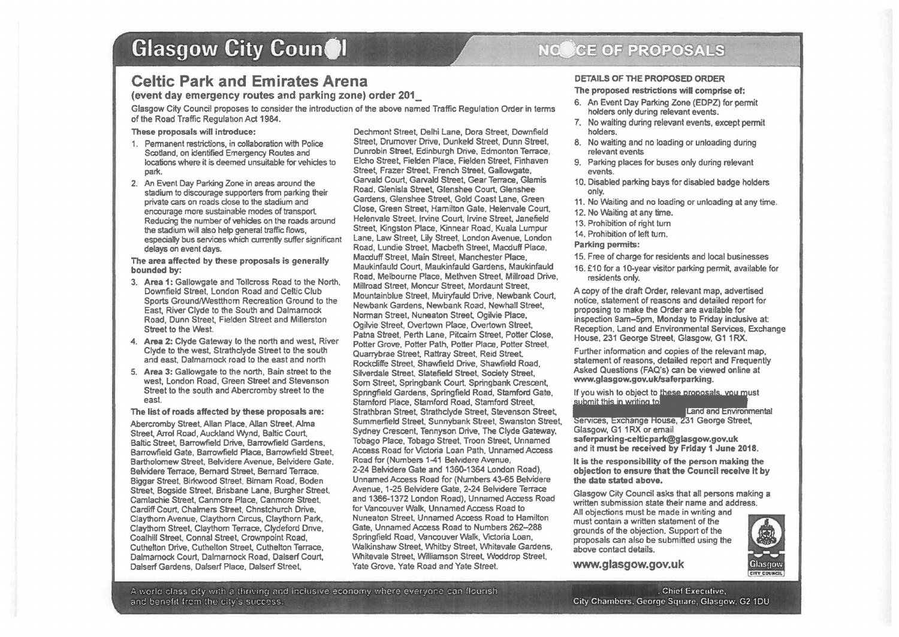# **Glasgow City Council**

## **Celtic Park and Emirates Arena**

### (event day emergency routes and parking zone) order 201\_

Glasgow City Council proposes to consider the introduction of the above named Traffic Regulation Order in terms of the Road Traffic Regulation Act 1984.

#### These proposals will introduce:

- 1. Permanent restrictions, in collaboration with Police Scotland, on identified Emergency Routes and locations where it is deemed unsuitable forvehides to park.
- 2. An Event Day Parking Zone in areas around the stadium to discourage supporters from parking their private cars on roads close to the stadium and encourage more sustainable modes of transport Reducing the number of vehicles on the roads around the stadium will also help general traffic flows, especially bus services which currently suffer significant delays on event days.

The area affected by these proposals is generally bounded by:

- 3. Area 1: Gallowgate and Tollcross Road to the North, Downfield Street, London Road and Celtic Club Sports Ground/Westthom Recreation Ground to the East, River Clyde to the South and Dalmamock Road, Dunn Street, Fielden Street and Millerston Street to the West.
- 4. Area 2: Clyde Gateway to the north and west, River Clyde to the west, Strathclyde Street to the south and east. Dalmamock road to the east and north
- 5. Area 3: Gallowgate to the north, Bain street to the west, London Road, Green Street and Stevenson Street lo the south and Abercromby street to the east.

The list of roads affected by these proposals are:

Abercromby Street. Allan Place, Allan Street. Alma Street, Arrol Road, Auckland Wynd, Baltic Court, Baltic Street, Barrowfield Drive, Barrowfield Gardens, Barrowfield Gate, Barrowfield Place, Barrowfield Street, Bartholomew Street, Belvidere Avenue, Belvidere Gate. Belvidere Terrace, Bernard Street, Bernard Terrace. Biggar Street. Birkwood Street. Birnam Road, Boden Street. Bogside Street, Brisbane Lane, Burgher Street, Camlachie Street. Canmore Place, Canmore Street. Cardiff Court, Chalmers Street, Chnstchurch Drive, Claythom Avenue, Claythom Circus, Claythorn Park, Claythom Street, Claythom Terrace, Clydeford Dnve, Coalhill Street, Connal Street, Crownpoint Road, Cuthelton Drive, Cuthelton Street, Cuthelton Terrace, Dalmamock Court, Dalmamock Road, Dalserf Court, Dalserf Gardens, Dalserf Place. Dalserf Street,

Dechmont Street, Delhi lane, Dora Street, Downfield Street, Drumover Onve, Dunkeld Street, Dunn Street, Dunrobin Street, Edinburgh Drive. Edmonton Terrace, Elcho Street, Fielden Place, Fielden Street, Finhaven Street. Frazer Street. French Street. Gallowgate, Garvald Court, Garvald Street. Gear Terrace, Glamis Road, Glenisla Street, Glenshee Court. Glenshee Gardens, Glenshee Street, Gold Coast Lane, Green Close, Green Street, Hamilton Gate. Helenvale Court. Helenvale Street. Irvine Court, Irvine Street, Janefield Street, Kingston Place, Kinnear Road. Kuala Lumpur Lane, law Street, Lily Street, London Avenue, London Road, Lundie Street. Macbeth Street, Macduff Place. Macduff Street, Main Street, Manchester Place, Maukinfauld Court, Maukinfauld Gardens, Maukinfauld Road, Melbourne Place, Methven Street, Millroad Drive, Millroad Street, Moncur Street. Mordaunt Street, Mountainblue Street, Muiryfauld Drive, Newbank Court. Newbank Gardens, Newbank Road, Newhall Street, Norman Street, Nuneaton Street. Ogilvie Place, Ogilvie Street, Overtown Place, Overtown Street, Patna Street. Perth Lane, Pitcairn Street, Potter Close, Potter Grove. Potter Path, Potter Place, Potter Street. Quarrybrae Street, Rattray Street. Reid Street. Rockcliffe Street, Shawfield Drive, Shawfield Road, Silverdale Street. Slatafield Street, Society Street, Som Street, Springbank Court. Springbank Crescent. Springfield Gardens, Springfield Road, Stamford Gate, Stamford Place, Stamford Road, Stamford Street, Strathbran Street. Strathclyde Street, Stevenson Street. Summerfield Street, Sunnybank Street, Swanston Street, Sydney Crescent. Tennyson Drive, The Clyde Gateway, Tobago Place, Tobago Street, Troon Street, Unnamed Access Road for Victoria Loan Path, Unnamed Access Road for (Numbers 1-41 Belvidere Avenue, 2-24 Belvidere Gate and 1360-1364 London Road), Unnamed Access Road for (Numbers 43-65 Belvidere Avenue, 1-25 Belvidere Gate, 2-24 Belvidere Terrace and 1386-1372 london Road), Unnamed Access Road for Vancouver Walk, Unnamed Access Road to Nuneaton Street. Unnamed Access Road to Hamilton Gate, Unnamed Access Road to Numbers 262-288 Springfield Road, Vancouver Walk, Victoria Loan, Walkinshaw Street. Whitby Street, Whitevale Gardens, Whitevale Street, Williamson Street, Woddrop Street, Yate Grove. Yate Road and Yate Street.

#### NO CE OF PROPOSALS

### DETAILS OF THE PROPOSED ORDER

#### The proposed restrictions wiU comprise of:

- 6. An Event Day Parking Zone (EDPZ) for permit holders only during relevant events.
- 7. No waiting during relevant events, except permit holders.
- 8. No waiting and no loading or unloading during relevant events
- 9. Parking places for buses only during relevant events.
- 10. Disabled parking bays for disabled badge holders only.
- 11. No Waiting and no loading or unloading at any time.
- 12. No Waiting at any time.
- 13. Prohibition of right tum
- 14. Prohibition of left tum.

#### Parking pennits:

- 15. Free of charge for residents and local businesses
- 16. £10 for a 10-year visitor parking permit, available for residents only.

A copy of the draft Order, relevant map, advertised notice, statement of reasons and detailed report for proposing to make the Order are available for inspection 9am-5pm, Monday to Friday inclusive at Reception. Land and Environmental Services, Exchange House, 231 George Street, Glasgow, G1 1RX.

Further information and copies of the relevant map, statement of reasons, detailed report and Frequently Asked Questions (FAQ's) can be viewed online at www.glasgow.gov.uk/saferparking.

# If you wish to object to these proposals, you must<br>submit this in writing to

**Land and Environmental** Services, Exchange House, 231 George Street, Glasgow, G1 1RX or email saferparking-celticpark@glasgow.gov.uk and it must be received by Friday 1 June 2018.

It is the responsibility of the person making the objection to ensure that the Council receive It by the date stated above.

Glasgow City Council asks that all persons making a written submission state their name and address. All objections must be made in writing and must contain a written statement of the grounds of the objection. Support of the proposals can also be submitted using the above contact details.

www.glasgow.gov.uk



:.. 1·,crlcJ cl;:ss c1'.y 1·n:n a tlw'.·tnD i"!t~d 1r.clus1ve economy •:11lere evPryor.,~ ·:nr. flourish . Chief Executive, and benefit from the city's success. City Chambers. George Square, Glasgow. G2 1DU